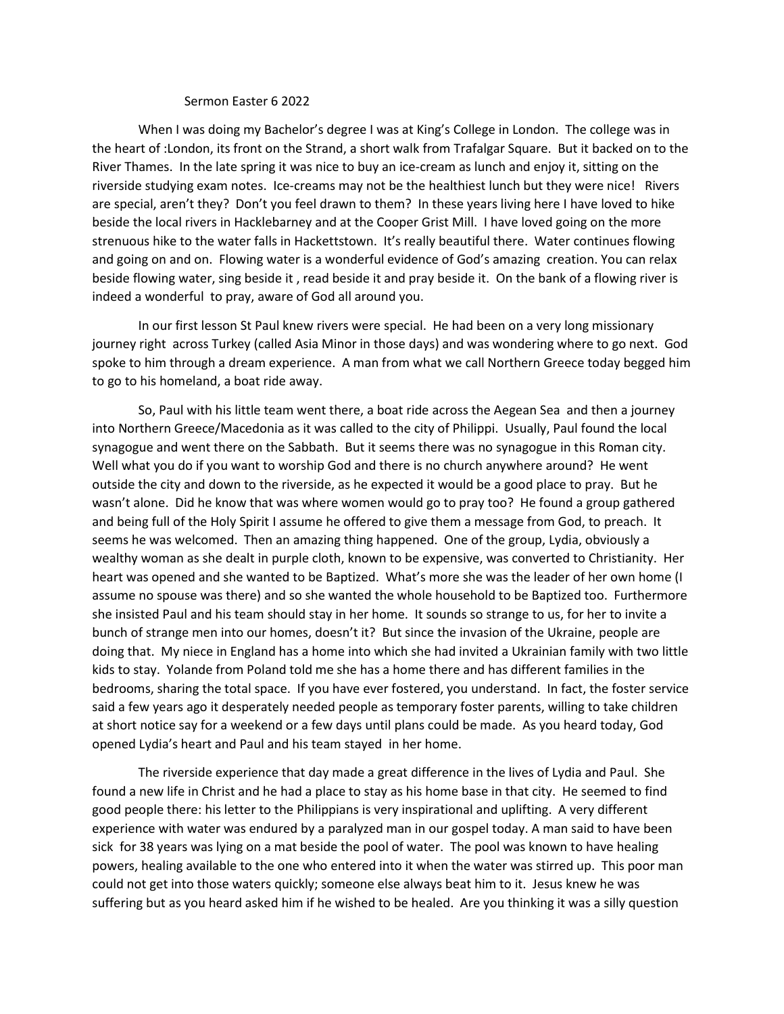## Sermon Easter 6 2022

When I was doing my Bachelor's degree I was at King's College in London. The college was in the heart of :London, its front on the Strand, a short walk from Trafalgar Square. But it backed on to the River Thames. In the late spring it was nice to buy an ice-cream as lunch and enjoy it, sitting on the riverside studying exam notes. Ice-creams may not be the healthiest lunch but they were nice! Rivers are special, aren't they? Don't you feel drawn to them? In these years living here I have loved to hike beside the local rivers in Hacklebarney and at the Cooper Grist Mill. I have loved going on the more strenuous hike to the water falls in Hackettstown. It's really beautiful there. Water continues flowing and going on and on. Flowing water is a wonderful evidence of God's amazing creation. You can relax beside flowing water, sing beside it , read beside it and pray beside it. On the bank of a flowing river is indeed a wonderful to pray, aware of God all around you.

In our first lesson St Paul knew rivers were special. He had been on a very long missionary journey right across Turkey (called Asia Minor in those days) and was wondering where to go next. God spoke to him through a dream experience. A man from what we call Northern Greece today begged him to go to his homeland, a boat ride away.

So, Paul with his little team went there, a boat ride across the Aegean Sea and then a journey into Northern Greece/Macedonia as it was called to the city of Philippi. Usually, Paul found the local synagogue and went there on the Sabbath. But it seems there was no synagogue in this Roman city. Well what you do if you want to worship God and there is no church anywhere around? He went outside the city and down to the riverside, as he expected it would be a good place to pray. But he wasn't alone. Did he know that was where women would go to pray too? He found a group gathered and being full of the Holy Spirit I assume he offered to give them a message from God, to preach. It seems he was welcomed. Then an amazing thing happened. One of the group, Lydia, obviously a wealthy woman as she dealt in purple cloth, known to be expensive, was converted to Christianity. Her heart was opened and she wanted to be Baptized. What's more she was the leader of her own home (I assume no spouse was there) and so she wanted the whole household to be Baptized too. Furthermore she insisted Paul and his team should stay in her home. It sounds so strange to us, for her to invite a bunch of strange men into our homes, doesn't it? But since the invasion of the Ukraine, people are doing that. My niece in England has a home into which she had invited a Ukrainian family with two little kids to stay. Yolande from Poland told me she has a home there and has different families in the bedrooms, sharing the total space. If you have ever fostered, you understand. In fact, the foster service said a few years ago it desperately needed people as temporary foster parents, willing to take children at short notice say for a weekend or a few days until plans could be made. As you heard today, God opened Lydia's heart and Paul and his team stayed in her home.

The riverside experience that day made a great difference in the lives of Lydia and Paul. She found a new life in Christ and he had a place to stay as his home base in that city. He seemed to find good people there: his letter to the Philippians is very inspirational and uplifting. A very different experience with water was endured by a paralyzed man in our gospel today. A man said to have been sick for 38 years was lying on a mat beside the pool of water. The pool was known to have healing powers, healing available to the one who entered into it when the water was stirred up. This poor man could not get into those waters quickly; someone else always beat him to it. Jesus knew he was suffering but as you heard asked him if he wished to be healed. Are you thinking it was a silly question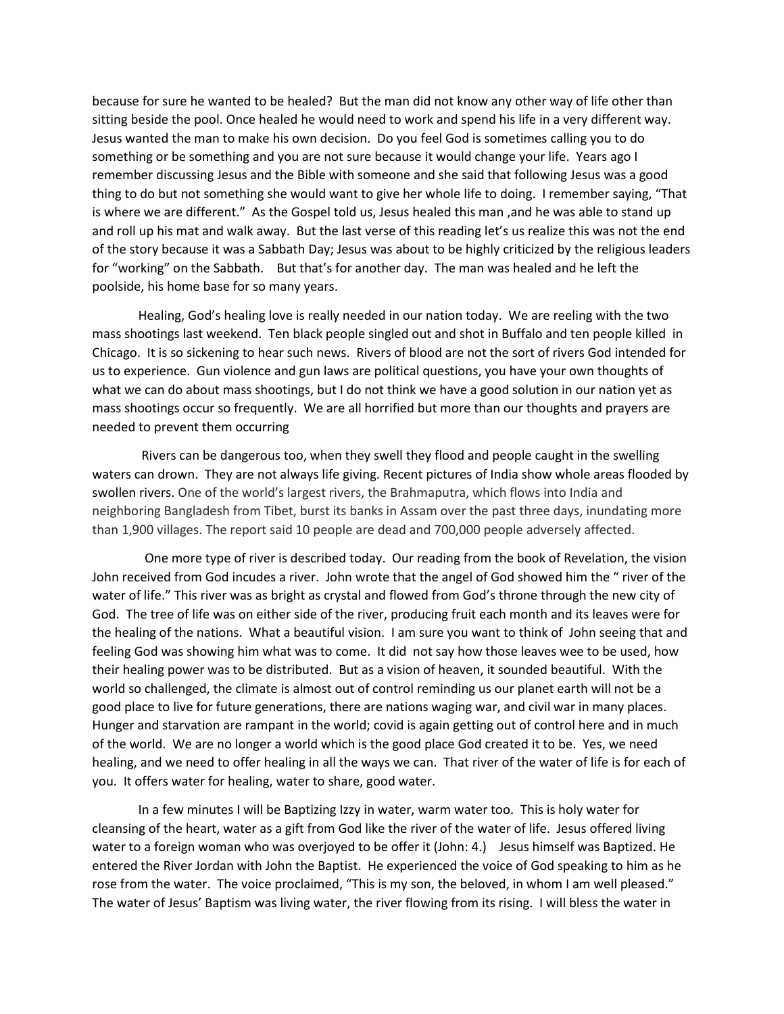because for sure he wanted to be healed? But the man did not know any other way of life other than sitting beside the pool. Once healed he would need to work and spend his life in a very different way. Jesus wanted the man to make his own decision. Do you feel God is sometimes calling you to do something or be something and you are not sure because it would change your life. Years ago I remember discussing Jesus and the Bible with someone and she said that following Jesus was a good thing to do but not something she would want to give her whole life to doing. I remember saying, "That is where we are different." As the Gospel told us, Jesus healed this man ,and he was able to stand up and roll up his mat and walk away. But the last verse of this reading let's us realize this was not the end of the story because it was a Sabbath Day; Jesus was about to be highly criticized by the religious leaders for "working" on the Sabbath. But that's for another day. The man was healed and he left the poolside, his home base for so many years.

Healing, God's healing love is really needed in our nation today. We are reeling with the two mass shootings last weekend. Ten black people singled out and shot in Buffalo and ten people killed in Chicago. It is so sickening to hear such news. Rivers of blood are not the sort of rivers God intended for us to experience. Gun violence and gun laws are political questions, you have your own thoughts of what we can do about mass shootings, but I do not think we have a good solution in our nation yet as mass shootings occur so frequently. We are all horrified but more than our thoughts and prayers are needed to prevent them occurring

Rivers can be dangerous too, when they swell they flood and people caught in the swelling waters can drown. They are not always life giving. Recent pictures of India show whole areas flooded by swollen rivers. One of the world's largest rivers, the Brahmaputra, which flows into India and neighboring Bangladesh from Tibet, burst its banks in Assam over the past three days, inundating more than 1,900 villages. The report said 10 people are dead and 700,000 people adversely affected.

 One more type of river is described today. Our reading from the book of Revelation, the vision John received from God incudes a river. John wrote that the angel of God showed him the " river of the water of life." This river was as bright as crystal and flowed from God's throne through the new city of God. The tree of life was on either side of the river, producing fruit each month and its leaves were for the healing of the nations. What a beautiful vision. I am sure you want to think of John seeing that and feeling God was showing him what was to come. It did not say how those leaves wee to be used, how their healing power was to be distributed. But as a vision of heaven, it sounded beautiful. With the world so challenged, the climate is almost out of control reminding us our planet earth will not be a good place to live for future generations, there are nations waging war, and civil war in many places. Hunger and starvation are rampant in the world; covid is again getting out of control here and in much of the world. We are no longer a world which is the good place God created it to be. Yes, we need healing, and we need to offer healing in all the ways we can. That river of the water of life is for each of you. It offers water for healing, water to share, good water.

In a few minutes I will be Baptizing Izzy in water, warm water too. This is holy water for cleansing of the heart, water as a gift from God like the river of the water of life. Jesus offered living water to a foreign woman who was overjoyed to be offer it (John: 4.) Jesus himself was Baptized. He entered the River Jordan with John the Baptist. He experienced the voice of God speaking to him as he rose from the water. The voice proclaimed, "This is my son, the beloved, in whom I am well pleased." The water of Jesus' Baptism was living water, the river flowing from its rising. I will bless the water in